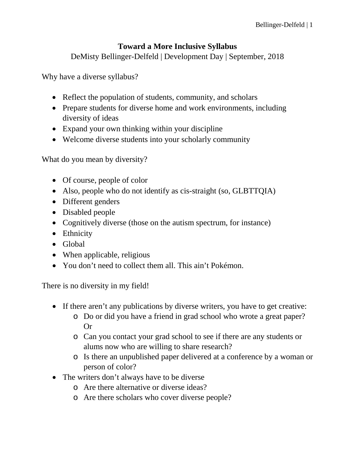## **Toward a More Inclusive Syllabus**

DeMisty Bellinger-Delfeld | Development Day | September, 2018

Why have a diverse syllabus?

- Reflect the population of students, community, and scholars
- Prepare students for diverse home and work environments, including diversity of ideas
- Expand your own thinking within your discipline
- Welcome diverse students into your scholarly community

What do you mean by diversity?

- Of course, people of color
- Also, people who do not identify as cis-straight (so, GLBTTQIA)
- Different genders
- Disabled people
- Cognitively diverse (those on the autism spectrum, for instance)
- Ethnicity
- Global
- When applicable, religious
- You don't need to collect them all. This ain't Pokémon.

There is no diversity in my field!

- If there aren't any publications by diverse writers, you have to get creative:
	- o Do or did you have a friend in grad school who wrote a great paper? Or
	- o Can you contact your grad school to see if there are any students or alums now who are willing to share research?
	- o Is there an unpublished paper delivered at a conference by a woman or person of color?
- The writers don't always have to be diverse
	- o Are there alternative or diverse ideas?
	- o Are there scholars who cover diverse people?